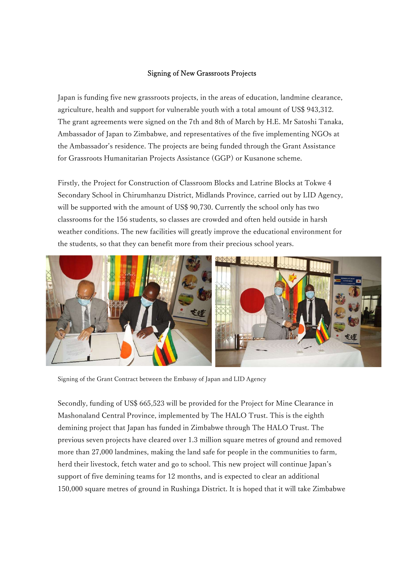## Signing of New Grassroots Projects

Japan is funding five new grassroots projects, in the areas of education, landmine clearance, agriculture, health and support for vulnerable youth with a total amount of US\$ 943,312. The grant agreements were signed on the 7th and 8th of March by H.E. Mr Satoshi Tanaka, Ambassador of Japan to Zimbabwe, and representatives of the five implementing NGOs at the Ambassador's residence. The projects are being funded through the Grant Assistance for Grassroots Humanitarian Projects Assistance (GGP) or Kusanone scheme.

Firstly, the Project for Construction of Classroom Blocks and Latrine Blocks at Tokwe 4 Secondary School in Chirumhanzu District, Midlands Province, carried out by LID Agency, will be supported with the amount of US\$ 90,730. Currently the school only has two classrooms for the 156 students, so classes are crowded and often held outside in harsh weather conditions. The new facilities will greatly improve the educational environment for the students, so that they can benefit more from their precious school years.



Signing of the Grant Contract between the Embassy of Japan and LID Agency

Secondly, funding of US\$ 665,523 will be provided for the Project for Mine Clearance in Mashonaland Central Province, implemented by The HALO Trust. This is the eighth demining project that Japan has funded in Zimbabwe through The HALO Trust. The previous seven projects have cleared over 1.3 million square metres of ground and removed more than 27,000 landmines, making the land safe for people in the communities to farm, herd their livestock, fetch water and go to school. This new project will continue Japan's support of five demining teams for 12 months, and is expected to clear an additional 150,000 square metres of ground in Rushinga District. It is hoped that it will take Zimbabwe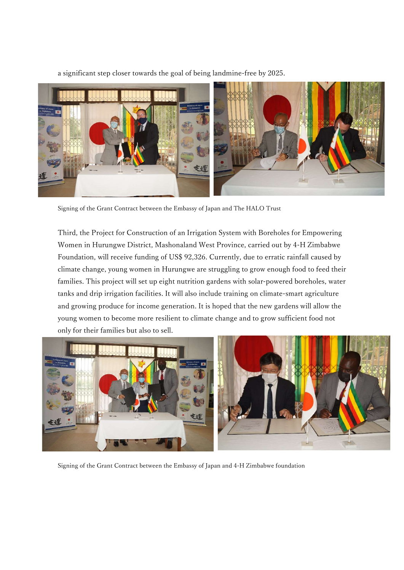a significant step closer towards the goal of being landmine-free by 2025.



Signing of the Grant Contract between the Embassy of Japan and The HALO Trust

Third, the Project for Construction of an Irrigation System with Boreholes for Empowering Women in Hurungwe District, Mashonaland West Province, carried out by 4-H Zimbabwe Foundation, will receive funding of US\$ 92,326. Currently, due to erratic rainfall caused by climate change, young women in Hurungwe are struggling to grow enough food to feed their families. This project will set up eight nutrition gardens with solar-powered boreholes, water tanks and drip irrigation facilities. It will also include training on climate-smart agriculture and growing produce for income generation. It is hoped that the new gardens will allow the young women to become more resilient to climate change and to grow sufficient food not only for their families but also to sell.



Signing of the Grant Contract between the Embassy of Japan and 4-H Zimbabwe foundation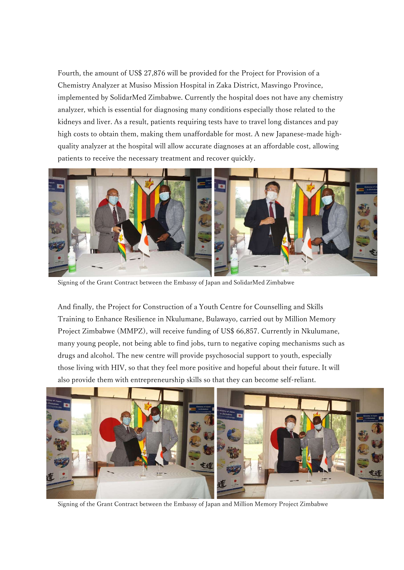Fourth, the amount of US\$ 27,876 will be provided for the Project for Provision of a Chemistry Analyzer at Musiso Mission Hospital in Zaka District, Masvingo Province, implemented by SolidarMed Zimbabwe. Currently the hospital does not have any chemistry analyzer, which is essential for diagnosing many conditions especially those related to the kidneys and liver. As a result, patients requiring tests have to travel long distances and pay high costs to obtain them, making them unaffordable for most. A new Japanese-made highquality analyzer at the hospital will allow accurate diagnoses at an affordable cost, allowing patients to receive the necessary treatment and recover quickly.



Signing of the Grant Contract between the Embassy of Japan and SolidarMed Zimbabwe

And finally, the Project for Construction of a Youth Centre for Counselling and Skills Training to Enhance Resilience in Nkulumane, Bulawayo, carried out by Million Memory Project Zimbabwe (MMPZ), will receive funding of US\$ 66,857. Currently in Nkulumane, many young people, not being able to find jobs, turn to negative coping mechanisms such as drugs and alcohol. The new centre will provide psychosocial support to youth, especially those living with HIV, so that they feel more positive and hopeful about their future. It will also provide them with entrepreneurship skills so that they can become self-reliant.



Signing of the Grant Contract between the Embassy of Japan and Million Memory Project Zimbabwe